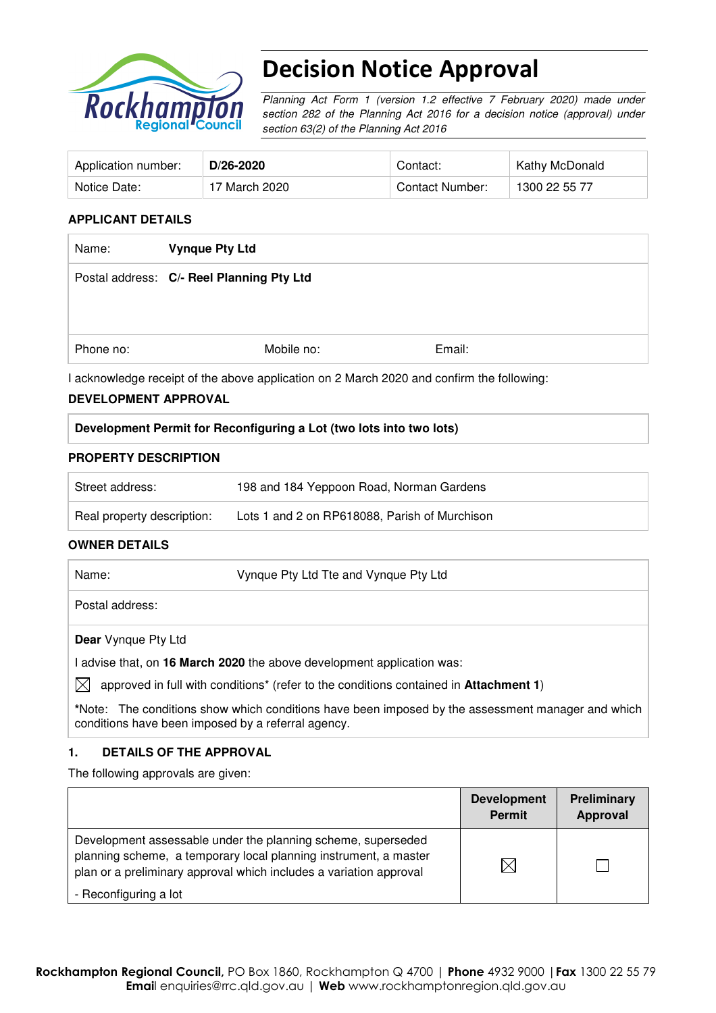

# Decision Notice Approval

Planning Act Form 1 (version 1.2 effective 7 February 2020) made under section 282 of the Planning Act 2016 for a decision notice (approval) under section 63(2) of the Planning Act 2016

| Application number: | D/26-2020     | Contact:        | Kathy McDonald |
|---------------------|---------------|-----------------|----------------|
| Notice Date:        | 17 March 2020 | Contact Number: | 1300 22 55 77  |

#### **APPLICANT DETAILS**

| <b>Vynque Pty Ltd</b>                     |        |  |
|-------------------------------------------|--------|--|
| Postal address: C/- Reel Planning Pty Ltd |        |  |
|                                           |        |  |
|                                           |        |  |
| Mobile no:                                | Email: |  |
|                                           |        |  |

I acknowledge receipt of the above application on 2 March 2020 and confirm the following:

#### **DEVELOPMENT APPROVAL**

#### **Development Permit for Reconfiguring a Lot (two lots into two lots)**

#### **PROPERTY DESCRIPTION**

| Street address:            | 198 and 184 Yeppoon Road, Norman Gardens      |
|----------------------------|-----------------------------------------------|
| Real property description: | Lots 1 and 2 on RP618088, Parish of Murchison |

#### **OWNER DETAILS**

| Name:           | Vynque Pty Ltd Tte and Vynque Pty Ltd |  |
|-----------------|---------------------------------------|--|
| Postal address: |                                       |  |

**Dear** Vynque Pty Ltd

I advise that, on **16 March 2020** the above development application was:

 $\boxtimes$  approved in full with conditions<sup>\*</sup> (refer to the conditions contained in **Attachment 1**)

**\***Note:The conditions show which conditions have been imposed by the assessment manager and which conditions have been imposed by a referral agency.

#### **1. DETAILS OF THE APPROVAL**

The following approvals are given:

|                                                                                                                                                                                                        | <b>Development</b><br><b>Permit</b> | <b>Preliminary</b><br>Approval |
|--------------------------------------------------------------------------------------------------------------------------------------------------------------------------------------------------------|-------------------------------------|--------------------------------|
| Development assessable under the planning scheme, superseded<br>planning scheme, a temporary local planning instrument, a master<br>plan or a preliminary approval which includes a variation approval | $\boxtimes$                         |                                |
| - Reconfiguring a lot                                                                                                                                                                                  |                                     |                                |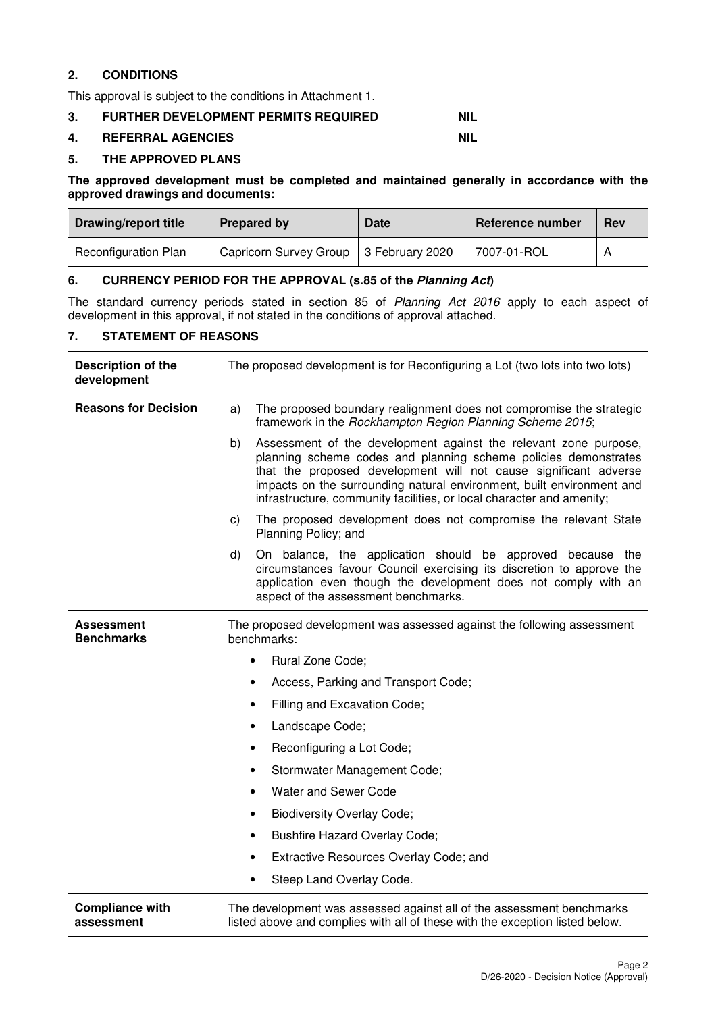### **2. CONDITIONS**

This approval is subject to the conditions in Attachment 1.

#### **3. FURTHER DEVELOPMENT PERMITS REQUIRED NIL**

#### **4. REFERRAL AGENCIES NIL**

#### **5. THE APPROVED PLANS**

**The approved development must be completed and maintained generally in accordance with the approved drawings and documents:** 

| <b>Drawing/report title</b> | Prepared by                              | <b>Date</b> | Reference number | <b>Rev</b> |
|-----------------------------|------------------------------------------|-------------|------------------|------------|
| <b>Reconfiguration Plan</b> | Capricorn Survey Group   3 February 2020 |             | 7007-01-ROL      |            |

#### **6. CURRENCY PERIOD FOR THE APPROVAL (s.85 of the Planning Act)**

The standard currency periods stated in section 85 of Planning Act 2016 apply to each aspect of development in this approval, if not stated in the conditions of approval attached.

### **7. STATEMENT OF REASONS**

| Description of the<br>development    | The proposed development is for Reconfiguring a Lot (two lots into two lots)                                                                                                                                                                                                                                                                                    |  |  |
|--------------------------------------|-----------------------------------------------------------------------------------------------------------------------------------------------------------------------------------------------------------------------------------------------------------------------------------------------------------------------------------------------------------------|--|--|
| <b>Reasons for Decision</b>          | The proposed boundary realignment does not compromise the strategic<br>a)<br>framework in the Rockhampton Region Planning Scheme 2015;                                                                                                                                                                                                                          |  |  |
|                                      | b)<br>Assessment of the development against the relevant zone purpose,<br>planning scheme codes and planning scheme policies demonstrates<br>that the proposed development will not cause significant adverse<br>impacts on the surrounding natural environment, built environment and<br>infrastructure, community facilities, or local character and amenity; |  |  |
|                                      | The proposed development does not compromise the relevant State<br>C)<br>Planning Policy; and                                                                                                                                                                                                                                                                   |  |  |
|                                      | On balance, the application should be approved because the<br>d)<br>circumstances favour Council exercising its discretion to approve the<br>application even though the development does not comply with an<br>aspect of the assessment benchmarks.                                                                                                            |  |  |
| Assessment<br><b>Benchmarks</b>      | The proposed development was assessed against the following assessment<br>benchmarks:                                                                                                                                                                                                                                                                           |  |  |
|                                      | <b>Rural Zone Code;</b>                                                                                                                                                                                                                                                                                                                                         |  |  |
|                                      | Access, Parking and Transport Code;                                                                                                                                                                                                                                                                                                                             |  |  |
|                                      | Filling and Excavation Code;                                                                                                                                                                                                                                                                                                                                    |  |  |
|                                      | Landscape Code;<br>$\bullet$                                                                                                                                                                                                                                                                                                                                    |  |  |
|                                      | Reconfiguring a Lot Code;<br>$\bullet$                                                                                                                                                                                                                                                                                                                          |  |  |
|                                      | Stormwater Management Code;<br>$\bullet$                                                                                                                                                                                                                                                                                                                        |  |  |
|                                      | Water and Sewer Code                                                                                                                                                                                                                                                                                                                                            |  |  |
|                                      | <b>Biodiversity Overlay Code;</b><br>$\bullet$                                                                                                                                                                                                                                                                                                                  |  |  |
|                                      | <b>Bushfire Hazard Overlay Code;</b><br>$\bullet$                                                                                                                                                                                                                                                                                                               |  |  |
|                                      | Extractive Resources Overlay Code; and                                                                                                                                                                                                                                                                                                                          |  |  |
|                                      | Steep Land Overlay Code.                                                                                                                                                                                                                                                                                                                                        |  |  |
| <b>Compliance with</b><br>assessment | The development was assessed against all of the assessment benchmarks<br>listed above and complies with all of these with the exception listed below.                                                                                                                                                                                                           |  |  |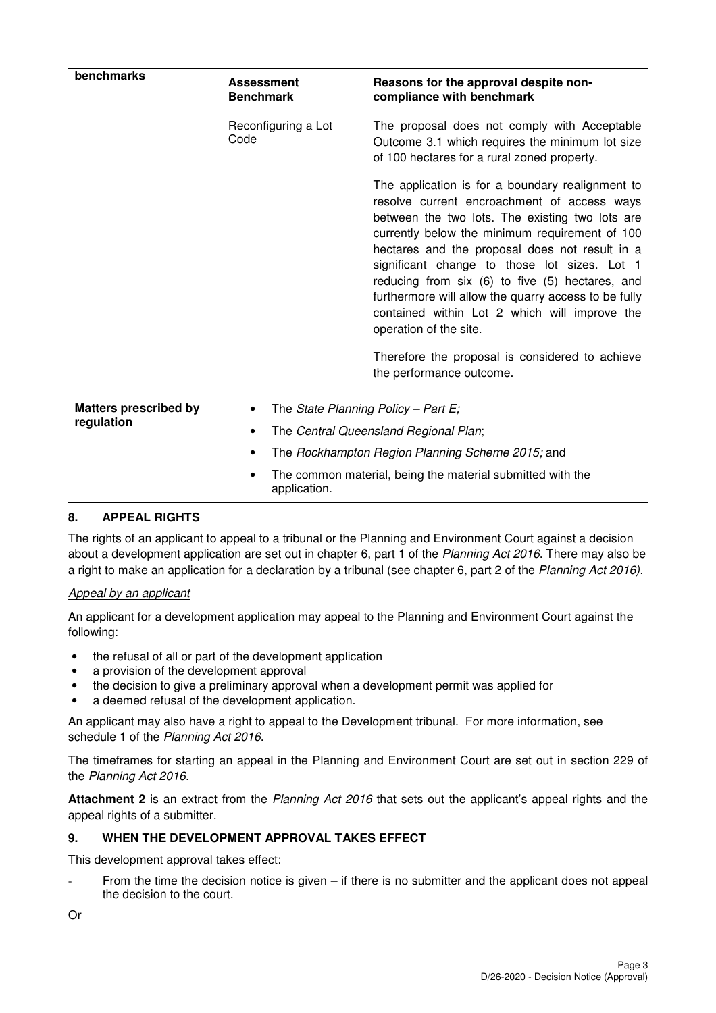| benchmarks                                 | <b>Assessment</b><br><b>Benchmark</b>               | Reasons for the approval despite non-<br>compliance with benchmark                                                                                                                                                                                                                                                                                                                                                                                                                                                                                                          |
|--------------------------------------------|-----------------------------------------------------|-----------------------------------------------------------------------------------------------------------------------------------------------------------------------------------------------------------------------------------------------------------------------------------------------------------------------------------------------------------------------------------------------------------------------------------------------------------------------------------------------------------------------------------------------------------------------------|
|                                            | Reconfiguring a Lot<br>Code                         | The proposal does not comply with Acceptable<br>Outcome 3.1 which requires the minimum lot size<br>of 100 hectares for a rural zoned property.                                                                                                                                                                                                                                                                                                                                                                                                                              |
|                                            |                                                     | The application is for a boundary realignment to<br>resolve current encroachment of access ways<br>between the two lots. The existing two lots are<br>currently below the minimum requirement of 100<br>hectares and the proposal does not result in a<br>significant change to those lot sizes. Lot 1<br>reducing from six (6) to five (5) hectares, and<br>furthermore will allow the quarry access to be fully<br>contained within Lot 2 which will improve the<br>operation of the site.<br>Therefore the proposal is considered to achieve<br>the performance outcome. |
| <b>Matters prescribed by</b><br>regulation | The State Planning Policy - Part E;<br>application. | The Central Queensland Regional Plan;<br>The Rockhampton Region Planning Scheme 2015; and<br>The common material, being the material submitted with the                                                                                                                                                                                                                                                                                                                                                                                                                     |

### **8. APPEAL RIGHTS**

The rights of an applicant to appeal to a tribunal or the Planning and Environment Court against a decision about a development application are set out in chapter 6, part 1 of the Planning Act 2016. There may also be a right to make an application for a declaration by a tribunal (see chapter 6, part 2 of the Planning Act 2016).

#### Appeal by an applicant

An applicant for a development application may appeal to the Planning and Environment Court against the following:

- the refusal of all or part of the development application
- a provision of the development approval
- the decision to give a preliminary approval when a development permit was applied for
- a deemed refusal of the development application.

An applicant may also have a right to appeal to the Development tribunal. For more information, see schedule 1 of the Planning Act 2016.

The timeframes for starting an appeal in the Planning and Environment Court are set out in section 229 of the Planning Act 2016.

**Attachment 2** is an extract from the Planning Act 2016 that sets out the applicant's appeal rights and the appeal rights of a submitter.

### **9. WHEN THE DEVELOPMENT APPROVAL TAKES EFFECT**

This development approval takes effect:

From the time the decision notice is given  $-$  if there is no submitter and the applicant does not appeal the decision to the court.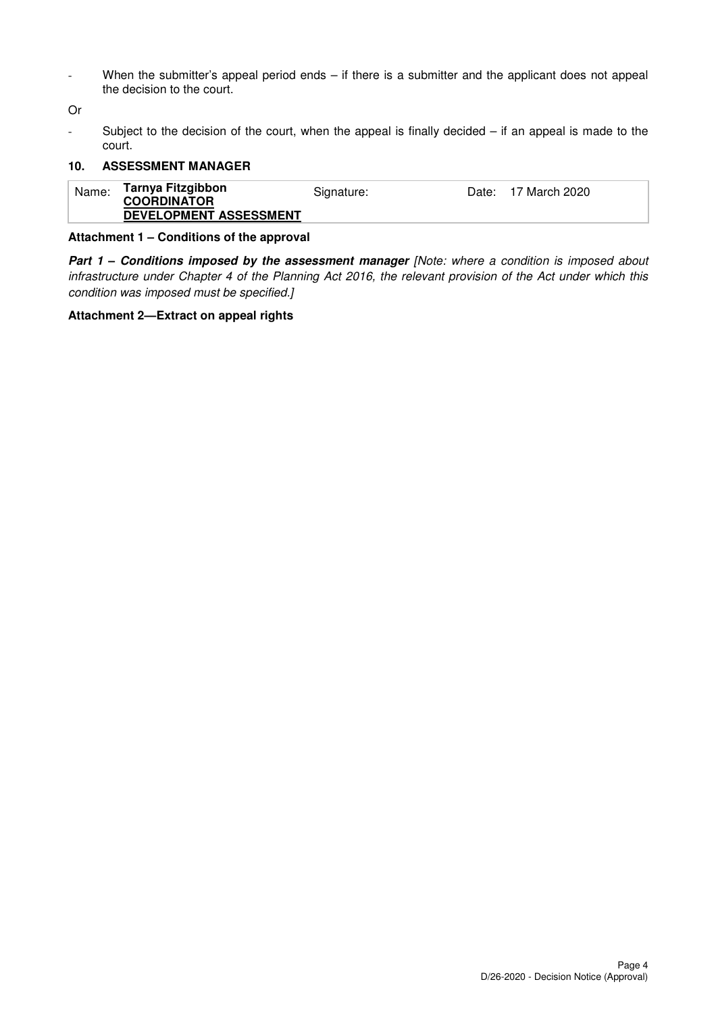- When the submitter's appeal period ends – if there is a submitter and the applicant does not appeal the decision to the court.

Or

Subject to the decision of the court, when the appeal is finally decided  $-$  if an appeal is made to the court.

#### **10. ASSESSMENT MANAGER**

| Name: | Tarnya Fitzgibbon<br><b>COORDINATOR</b><br>DEVELOPMENT ASSESSMENT | Signature: | Date: | 17 March 2020 |
|-------|-------------------------------------------------------------------|------------|-------|---------------|
|-------|-------------------------------------------------------------------|------------|-------|---------------|

#### **Attachment 1 – Conditions of the approval**

**Part 1 - Conditions imposed by the assessment manager [Note: where a condition is imposed about** infrastructure under Chapter 4 of the Planning Act 2016, the relevant provision of the Act under which this condition was imposed must be specified.]

#### **Attachment 2—Extract on appeal rights**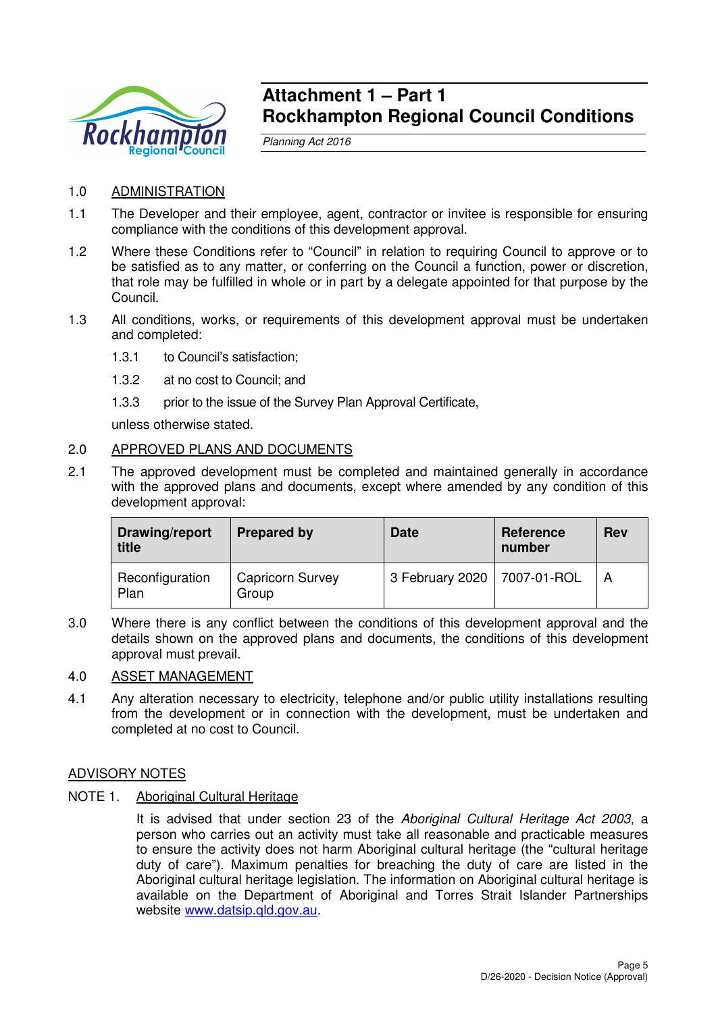

## **Attachment 1 – Part 1 Rockhampton Regional Council Conditions**

Planning Act 2016

## 1.0 ADMINISTRATION

- 1.1 The Developer and their employee, agent, contractor or invitee is responsible for ensuring compliance with the conditions of this development approval.
- 1.2 Where these Conditions refer to "Council" in relation to requiring Council to approve or to be satisfied as to any matter, or conferring on the Council a function, power or discretion, that role may be fulfilled in whole or in part by a delegate appointed for that purpose by the Council.
- 1.3 All conditions, works, or requirements of this development approval must be undertaken and completed:
	- 1.3.1 to Council's satisfaction;
	- 1.3.2 at no cost to Council; and
	- 1.3.3 prior to the issue of the Survey Plan Approval Certificate,

unless otherwise stated.

### 2.0 APPROVED PLANS AND DOCUMENTS

2.1 The approved development must be completed and maintained generally in accordance with the approved plans and documents, except where amended by any condition of this development approval:

| Drawing/report<br>title | <b>Prepared by</b>               | <b>Date</b>                   | <b>Reference</b><br>number | <b>Rev</b> |
|-------------------------|----------------------------------|-------------------------------|----------------------------|------------|
| Reconfiguration<br>Plan | <b>Capricorn Survey</b><br>Group | 3 February 2020   7007-01-ROL |                            |            |

3.0 Where there is any conflict between the conditions of this development approval and the details shown on the approved plans and documents, the conditions of this development approval must prevail.

#### 4.0 ASSET MANAGEMENT

4.1 Any alteration necessary to electricity, telephone and/or public utility installations resulting from the development or in connection with the development, must be undertaken and completed at no cost to Council.

#### ADVISORY NOTES

NOTE 1. Aboriginal Cultural Heritage

It is advised that under section 23 of the Aboriginal Cultural Heritage Act 2003, a person who carries out an activity must take all reasonable and practicable measures to ensure the activity does not harm Aboriginal cultural heritage (the "cultural heritage duty of care"). Maximum penalties for breaching the duty of care are listed in the Aboriginal cultural heritage legislation. The information on Aboriginal cultural heritage is available on the Department of Aboriginal and Torres Strait Islander Partnerships website www.datsip.qld.gov.au.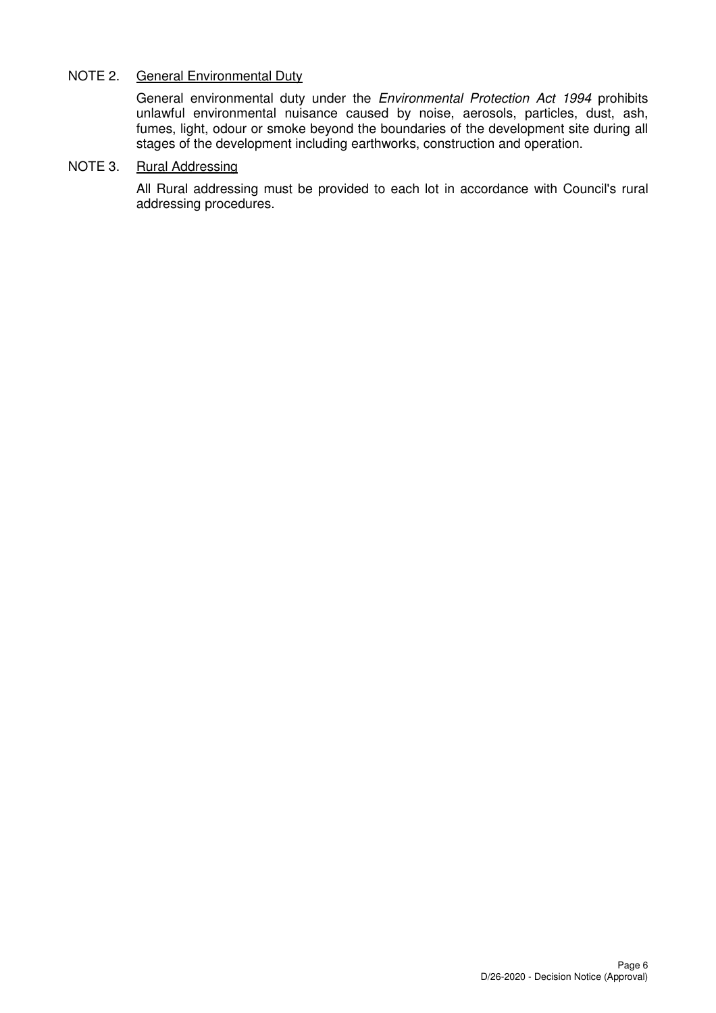### NOTE 2. General Environmental Duty

General environmental duty under the Environmental Protection Act 1994 prohibits unlawful environmental nuisance caused by noise, aerosols, particles, dust, ash, fumes, light, odour or smoke beyond the boundaries of the development site during all stages of the development including earthworks, construction and operation.

## NOTE 3. Rural Addressing

All Rural addressing must be provided to each lot in accordance with Council's rural addressing procedures.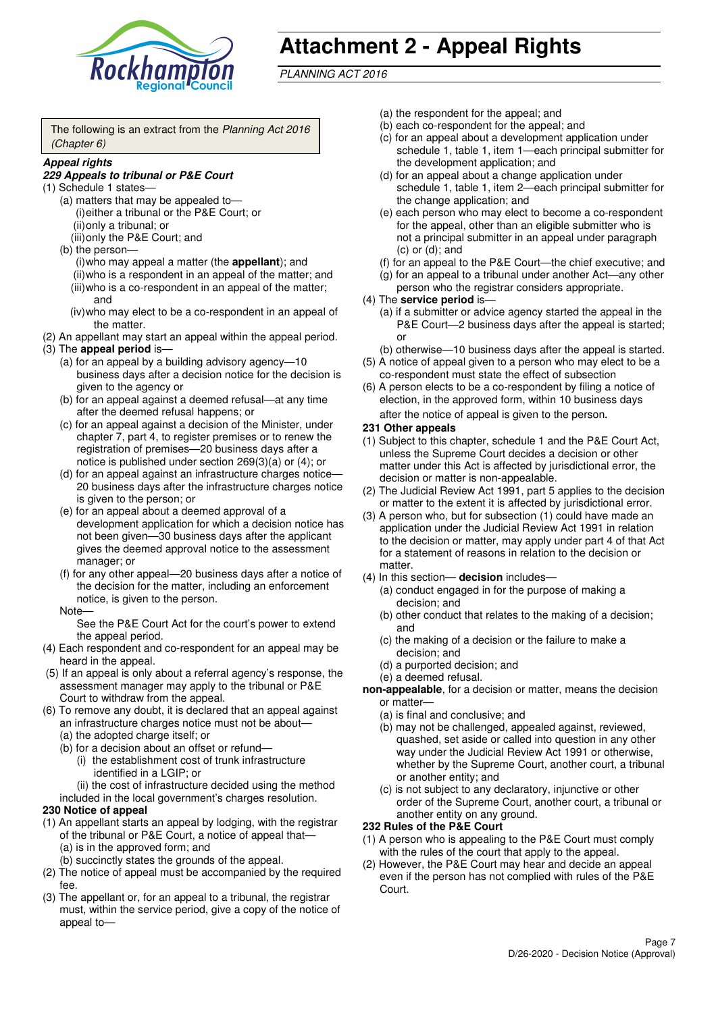

# **Attachment 2 - Appeal Rights**

PLANNING ACT 2016

The following is an extract from the Planning Act 2016 (Chapter 6)

#### **Appeal rights**

#### **229 Appeals to tribunal or P&E Court**

- (1) Schedule 1 states—
	- (a) matters that may be appealed to— (i) either a tribunal or the P&E Court; or (ii) only a tribunal; or
	- (iii) only the P&E Court; and (b) the person—

(i) who may appeal a matter (the **appellant**); and (ii) who is a respondent in an appeal of the matter; and (iii) who is a co-respondent in an appeal of the matter; and

- (iv) who may elect to be a co-respondent in an appeal of the matter.
- (2) An appellant may start an appeal within the appeal period.
- (3) The **appeal period** is—
	- (a) for an appeal by a building advisory agency—10 business days after a decision notice for the decision is given to the agency or
	- (b) for an appeal against a deemed refusal—at any time after the deemed refusal happens; or
	- (c) for an appeal against a decision of the Minister, under chapter 7, part 4, to register premises or to renew the registration of premises—20 business days after a notice is published under section 269(3)(a) or (4); or
	- (d) for an appeal against an infrastructure charges notice— 20 business days after the infrastructure charges notice is given to the person; or
	- (e) for an appeal about a deemed approval of a development application for which a decision notice has not been given—30 business days after the applicant gives the deemed approval notice to the assessment manager; or
	- (f) for any other appeal—20 business days after a notice of the decision for the matter, including an enforcement notice, is given to the person.

#### Note—

See the P&E Court Act for the court's power to extend the appeal period.

- (4) Each respondent and co-respondent for an appeal may be heard in the appeal.
- (5) If an appeal is only about a referral agency's response, the assessment manager may apply to the tribunal or P&E Court to withdraw from the appeal.
- (6) To remove any doubt, it is declared that an appeal against an infrastructure charges notice must not be about—
	- (a) the adopted charge itself; or
	- (b) for a decision about an offset or refund—
		- (i) the establishment cost of trunk infrastructure identified in a LGIP; or
		- (ii) the cost of infrastructure decided using the method
	- included in the local government's charges resolution.

#### **230 Notice of appeal**

- (1) An appellant starts an appeal by lodging, with the registrar of the tribunal or P&E Court, a notice of appeal that—
	- (a) is in the approved form; and
	- (b) succinctly states the grounds of the appeal.
- (2) The notice of appeal must be accompanied by the required fee.
- (3) The appellant or, for an appeal to a tribunal, the registrar must, within the service period, give a copy of the notice of appeal to—
- (a) the respondent for the appeal; and
- (b) each co-respondent for the appeal; and
- (c) for an appeal about a development application under schedule 1, table 1, item 1—each principal submitter for the development application; and
- (d) for an appeal about a change application under schedule 1, table 1, item 2—each principal submitter for the change application; and
- (e) each person who may elect to become a co-respondent for the appeal, other than an eligible submitter who is not a principal submitter in an appeal under paragraph  $(c)$  or  $(d)$ ; and
- (f) for an appeal to the P&E Court—the chief executive; and
- (g) for an appeal to a tribunal under another Act—any other person who the registrar considers appropriate.
- (4) The **service period** is—
	- (a) if a submitter or advice agency started the appeal in the P&E Court-2 business days after the appeal is started; or
	- (b) otherwise—10 business days after the appeal is started.
- (5) A notice of appeal given to a person who may elect to be a co-respondent must state the effect of subsection
- (6) A person elects to be a co-respondent by filing a notice of election, in the approved form, within 10 business days after the notice of appeal is given to the person*.*
- **231 Other appeals**
- (1) Subject to this chapter, schedule 1 and the P&E Court Act, unless the Supreme Court decides a decision or other matter under this Act is affected by jurisdictional error, the decision or matter is non-appealable.
- (2) The Judicial Review Act 1991, part 5 applies to the decision or matter to the extent it is affected by jurisdictional error.
- (3) A person who, but for subsection (1) could have made an application under the Judicial Review Act 1991 in relation to the decision or matter, may apply under part 4 of that Act for a statement of reasons in relation to the decision or matter.
- (4) In this section— **decision** includes—
	- (a) conduct engaged in for the purpose of making a decision; and
	- (b) other conduct that relates to the making of a decision; and
	- (c) the making of a decision or the failure to make a decision; and
	- (d) a purported decision; and
	- (e) a deemed refusal.

**non-appealable**, for a decision or matter, means the decision or matter—

- (a) is final and conclusive; and
- (b) may not be challenged, appealed against, reviewed, quashed, set aside or called into question in any other way under the Judicial Review Act 1991 or otherwise, whether by the Supreme Court, another court, a tribunal or another entity; and
- (c) is not subject to any declaratory, injunctive or other order of the Supreme Court, another court, a tribunal or another entity on any ground.

#### **232 Rules of the P&E Court**

- (1) A person who is appealing to the P&E Court must comply with the rules of the court that apply to the appeal.
- (2) However, the P&E Court may hear and decide an appeal even if the person has not complied with rules of the P&E Court.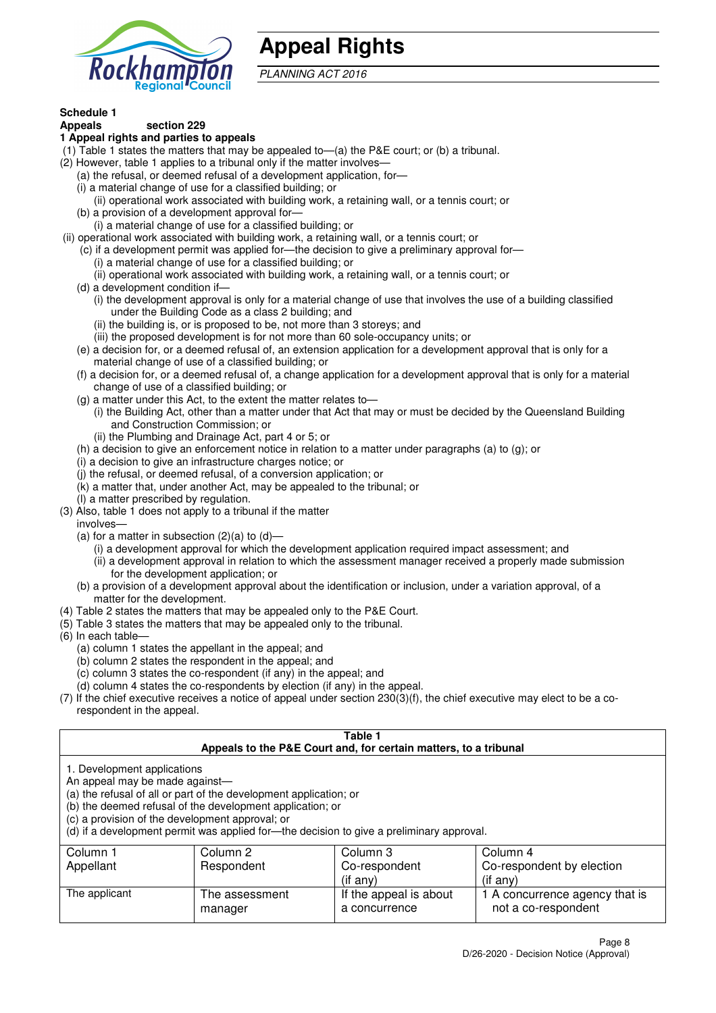

## **Appeal Rights**

PLANNING ACT 2016

## **Schedule 1**

#### **Appeals section 229 1 Appeal rights and parties to appeals**

- (1) Table 1 states the matters that may be appealed to—(a) the P&E court; or (b) a tribunal.
- (2) However, table 1 applies to a tribunal only if the matter involves—
	- (a) the refusal, or deemed refusal of a development application, for—
	- (i) a material change of use for a classified building; or
	- (ii) operational work associated with building work, a retaining wall, or a tennis court; or
	- (b) a provision of a development approval for—
	- (i) a material change of use for a classified building; or
- (ii) operational work associated with building work, a retaining wall, or a tennis court; or
	- (c) if a development permit was applied for—the decision to give a preliminary approval for—
		- (i) a material change of use for a classified building; or
	- (ii) operational work associated with building work, a retaining wall, or a tennis court; or
	- (d) a development condition if—
		- (i) the development approval is only for a material change of use that involves the use of a building classified under the Building Code as a class 2 building; and
		- (ii) the building is, or is proposed to be, not more than 3 storeys; and
		- (iii) the proposed development is for not more than 60 sole-occupancy units; or
	- (e) a decision for, or a deemed refusal of, an extension application for a development approval that is only for a material change of use of a classified building; or
	- (f) a decision for, or a deemed refusal of, a change application for a development approval that is only for a material change of use of a classified building; or
	- (g) a matter under this Act, to the extent the matter relates to—
		- (i) the Building Act, other than a matter under that Act that may or must be decided by the Queensland Building and Construction Commission; or
		- (ii) the Plumbing and Drainage Act, part 4 or 5; or
	- (h) a decision to give an enforcement notice in relation to a matter under paragraphs (a) to (g); or
	- (i) a decision to give an infrastructure charges notice; or
	- (j) the refusal, or deemed refusal, of a conversion application; or
	- (k) a matter that, under another Act, may be appealed to the tribunal; or
	- (l) a matter prescribed by regulation.
- (3) Also, table 1 does not apply to a tribunal if the matter

involves—

- (a) for a matter in subsection  $(2)(a)$  to  $(d)$ 
	- (i) a development approval for which the development application required impact assessment; and
	- (ii) a development approval in relation to which the assessment manager received a properly made submission for the development application; or
- (b) a provision of a development approval about the identification or inclusion, under a variation approval, of a matter for the development.
- (4) Table 2 states the matters that may be appealed only to the P&E Court.
- (5) Table 3 states the matters that may be appealed only to the tribunal.
- (6) In each table—
	- (a) column 1 states the appellant in the appeal; and
	- (b) column 2 states the respondent in the appeal; and
	- (c) column 3 states the co-respondent (if any) in the appeal; and
	- (d) column 4 states the co-respondents by election (if any) in the appeal.
- (7) If the chief executive receives a notice of appeal under section 230(3)(f), the chief executive may elect to be a corespondent in the appeal.

| Table 1<br>Appeals to the P&E Court and, for certain matters, to a tribunal                                                                                                                                                                                                                                                                    |                           |                                                           |                                                                   |  |
|------------------------------------------------------------------------------------------------------------------------------------------------------------------------------------------------------------------------------------------------------------------------------------------------------------------------------------------------|---------------------------|-----------------------------------------------------------|-------------------------------------------------------------------|--|
| 1. Development applications<br>An appeal may be made against-<br>(a) the refusal of all or part of the development application; or<br>(b) the deemed refusal of the development application; or<br>(c) a provision of the development approval; or<br>(d) if a development permit was applied for-the decision to give a preliminary approval. |                           |                                                           |                                                                   |  |
| Column 1<br>Appellant                                                                                                                                                                                                                                                                                                                          | Column 2<br>Respondent    | Column 3<br>Co-respondent                                 | Column 4<br>Co-respondent by election                             |  |
| The applicant                                                                                                                                                                                                                                                                                                                                  | The assessment<br>manager | $($ if any $)$<br>If the appeal is about<br>a concurrence | (if any)<br>1 A concurrence agency that is<br>not a co-respondent |  |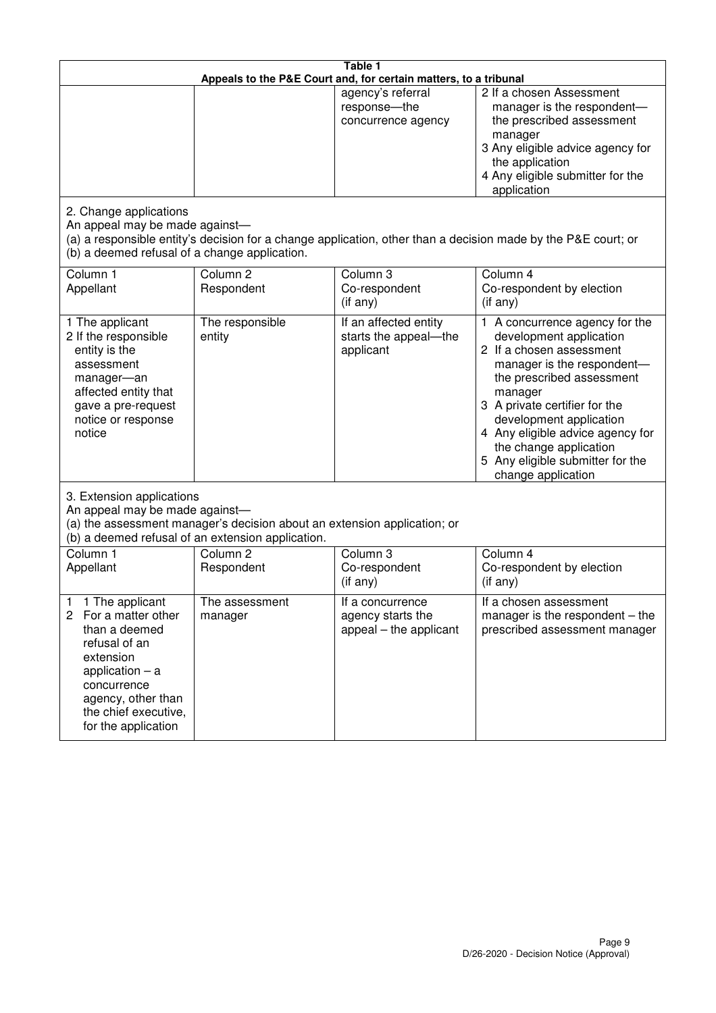| Table 1<br>Appeals to the P&E Court and, for certain matters, to a tribunal                                                                                                                                                 |                                                                                                                               |                                                                 |                                                                                                                                                                                                                                                                                                                                                 |  |
|-----------------------------------------------------------------------------------------------------------------------------------------------------------------------------------------------------------------------------|-------------------------------------------------------------------------------------------------------------------------------|-----------------------------------------------------------------|-------------------------------------------------------------------------------------------------------------------------------------------------------------------------------------------------------------------------------------------------------------------------------------------------------------------------------------------------|--|
|                                                                                                                                                                                                                             |                                                                                                                               | agency's referral<br>response-the<br>concurrence agency         | 2 If a chosen Assessment<br>manager is the respondent-<br>the prescribed assessment<br>manager<br>3 Any eligible advice agency for<br>the application<br>4 Any eligible submitter for the<br>application                                                                                                                                        |  |
| 2. Change applications<br>An appeal may be made against-<br>(b) a deemed refusal of a change application.                                                                                                                   |                                                                                                                               |                                                                 | (a) a responsible entity's decision for a change application, other than a decision made by the P&E court; or                                                                                                                                                                                                                                   |  |
| Column 1<br>Appellant                                                                                                                                                                                                       | Column <sub>2</sub><br>Respondent                                                                                             | Column 3<br>Co-respondent<br>(if any)                           | Column 4<br>Co-respondent by election<br>(if any)                                                                                                                                                                                                                                                                                               |  |
| 1 The applicant<br>2 If the responsible<br>entity is the<br>assessment<br>manager-an<br>affected entity that<br>gave a pre-request<br>notice or response<br>notice                                                          | The responsible<br>entity                                                                                                     | If an affected entity<br>starts the appeal-the<br>applicant     | 1 A concurrence agency for the<br>development application<br>2 If a chosen assessment<br>manager is the respondent-<br>the prescribed assessment<br>manager<br>3 A private certifier for the<br>development application<br>4 Any eligible advice agency for<br>the change application<br>5 Any eligible submitter for the<br>change application |  |
| 3. Extension applications<br>An appeal may be made against-                                                                                                                                                                 | (a) the assessment manager's decision about an extension application; or<br>(b) a deemed refusal of an extension application. |                                                                 |                                                                                                                                                                                                                                                                                                                                                 |  |
| Column 1<br>Appellant                                                                                                                                                                                                       | Column <sub>2</sub><br>Respondent                                                                                             | Column 3<br>Co-respondent<br>(if any)                           | Column 4<br>Co-respondent by election<br>(if any)                                                                                                                                                                                                                                                                                               |  |
| 1 The applicant<br>1<br>$\mathbf{2}^{\prime}$<br>For a matter other<br>than a deemed<br>refusal of an<br>extension<br>application $-$ a<br>concurrence<br>agency, other than<br>the chief executive,<br>for the application | The assessment<br>manager                                                                                                     | If a concurrence<br>agency starts the<br>appeal – the applicant | If a chosen assessment<br>manager is the respondent $-$ the<br>prescribed assessment manager                                                                                                                                                                                                                                                    |  |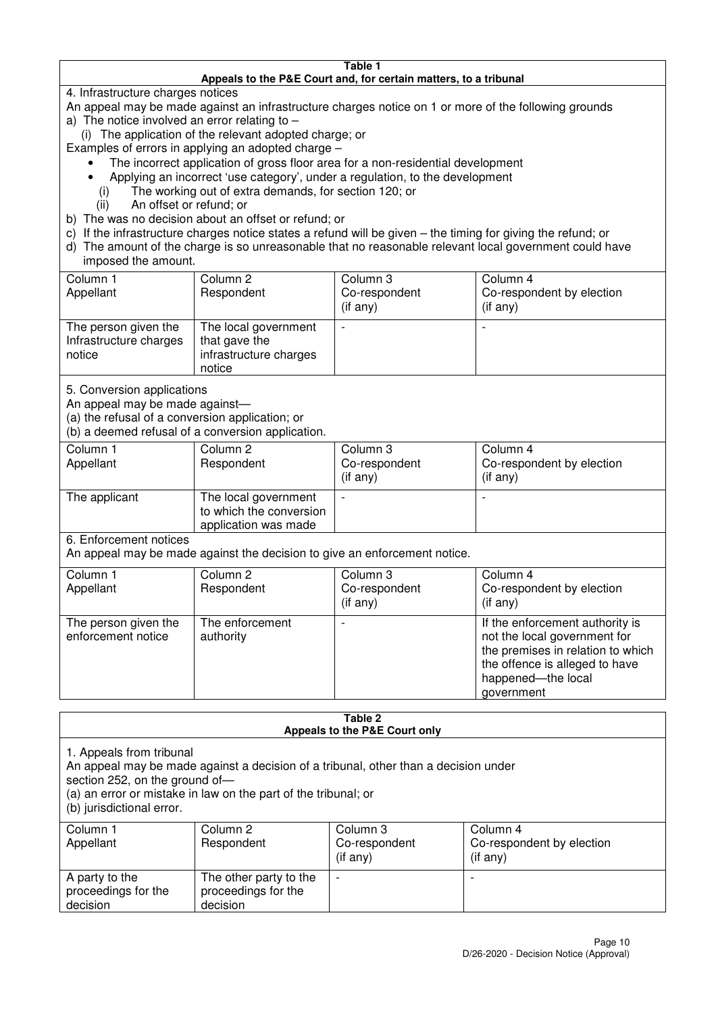#### **Table 1 Appeals to the P&E Court and, for certain matters, to a tribunal**

4. Infrastructure charges notices

- An appeal may be made against an infrastructure charges notice on 1 or more of the following grounds
- a) The notice involved an error relating to
	- (i) The application of the relevant adopted charge; or
- Examples of errors in applying an adopted charge
	- The incorrect application of gross floor area for a non-residential development
	- Applying an incorrect 'use category', under a regulation, to the development
	- (i) The working out of extra demands, for section 120; or
	- (ii) An offset or refund; or
- b) The was no decision about an offset or refund; or
- c) If the infrastructure charges notice states a refund will be given the timing for giving the refund; or
- d) The amount of the charge is so unreasonable that no reasonable relevant local government could have

### imposed the amount.

| Column 1<br>Appellant                                    | Column 2<br>Respondent                                                    | Column 3<br>Co-respondent<br>$($ if any $)$ | Column 4<br>Co-respondent by election<br>$($ if any $)$ |
|----------------------------------------------------------|---------------------------------------------------------------------------|---------------------------------------------|---------------------------------------------------------|
| The person given the<br>Infrastructure charges<br>notice | The local government<br>that gave the<br>infrastructure charges<br>notice |                                             | $\overline{\phantom{0}}$                                |

5. Conversion applications

An appeal may be made against—

(a) the refusal of a conversion application; or

(b) a deemed refusal of a conversion application.

| Column 1<br>Appellant | Column 2<br>Respondent                                                  | Column 3<br>Co-respondent<br>$($ if any $)$ | Column 4<br>Co-respondent by election<br>$($ if any $)$ |
|-----------------------|-------------------------------------------------------------------------|---------------------------------------------|---------------------------------------------------------|
| The applicant         | The local government<br>to which the conversion<br>application was made |                                             |                                                         |

6. Enforcement notices

An appeal may be made against the decision to give an enforcement notice.

| Column 1                                   | Column 2                     | Column 3       | Column 4                                                                                                                                                                   |
|--------------------------------------------|------------------------------|----------------|----------------------------------------------------------------------------------------------------------------------------------------------------------------------------|
| Appellant                                  | Respondent                   | Co-respondent  | Co-respondent by election                                                                                                                                                  |
|                                            |                              | $($ if any $)$ | (if any)                                                                                                                                                                   |
| The person given the<br>enforcement notice | The enforcement<br>authority |                | If the enforcement authority is<br>not the local government for<br>the premises in relation to which<br>the offence is alleged to have<br>happened-the local<br>government |

#### **Table 2 Appeals to the P&E Court only**

1. Appeals from tribunal

An appeal may be made against a decision of a tribunal, other than a decision under

section 252, on the ground of-

(a) an error or mistake in law on the part of the tribunal; or

(b) jurisdictional error.

| Column 1<br>Appellant                             | Column 2<br>Respondent                                    | Column 3<br>Co-respondent<br>$($ if any $)$ | Column 4<br>Co-respondent by election<br>(i f any) |
|---------------------------------------------------|-----------------------------------------------------------|---------------------------------------------|----------------------------------------------------|
| A party to the<br>proceedings for the<br>decision | The other party to the<br>proceedings for the<br>decision | $\overline{\phantom{0}}$                    |                                                    |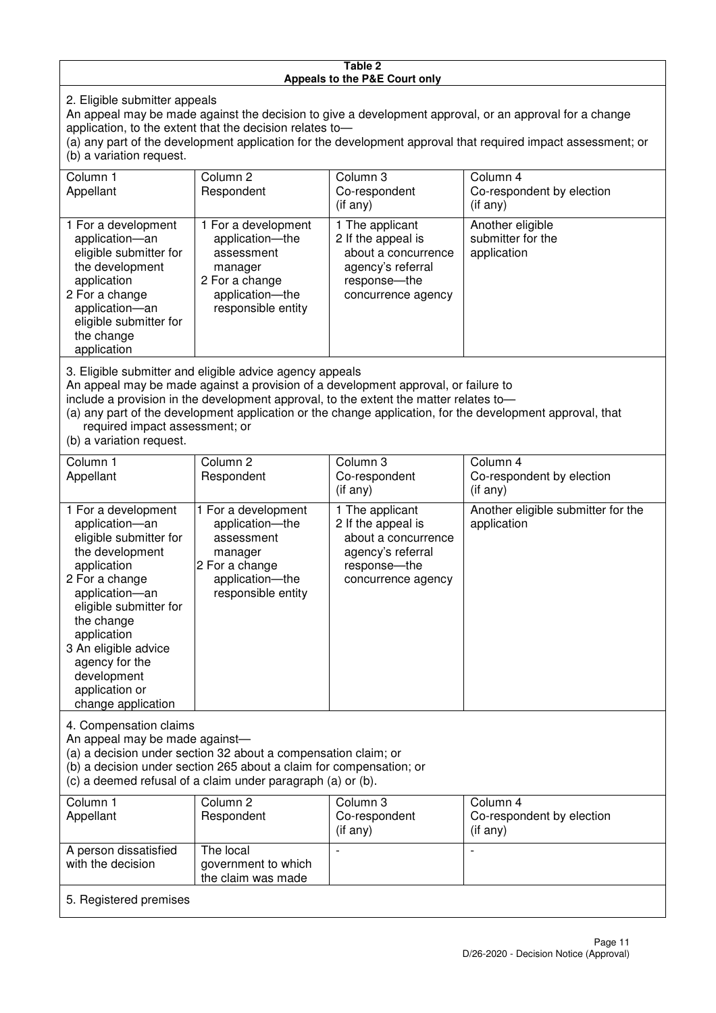#### **Table 2 Appeals to the P&E Court only**

2. Eligible submitter appeals

An appeal may be made against the decision to give a development approval, or an approval for a change application, to the extent that the decision relates to—

(a) any part of the development application for the development approval that required impact assessment; or (b) a variation request.

| Column 1<br>Appellant                                                                                                                                                                                                                                                                                                                                                                  | Column 2<br>Respondent                                                                                                     | Column 3<br>Co-respondent<br>$($ if any $)$                                                                             | Column 4<br>Co-respondent by election<br>(i f any)   |  |
|----------------------------------------------------------------------------------------------------------------------------------------------------------------------------------------------------------------------------------------------------------------------------------------------------------------------------------------------------------------------------------------|----------------------------------------------------------------------------------------------------------------------------|-------------------------------------------------------------------------------------------------------------------------|------------------------------------------------------|--|
| 1 For a development<br>application-an<br>eligible submitter for<br>the development<br>application<br>2 For a change<br>application-an<br>eligible submitter for<br>the change<br>application                                                                                                                                                                                           | 1 For a development<br>application-the<br>assessment<br>manager<br>2 For a change<br>application-the<br>responsible entity | 1 The applicant<br>2 If the appeal is<br>about a concurrence<br>agency's referral<br>response-the<br>concurrence agency | Another eligible<br>submitter for the<br>application |  |
| 3. Eligible submitter and eligible advice agency appeals<br>An appeal may be made against a provision of a development approval, or failure to<br>include a provision in the development approval, to the extent the matter relates to-<br>(a) any part of the development application or the change application, for the development approval, that<br>required impact assessment; or |                                                                                                                            |                                                                                                                         |                                                      |  |

(b) a variation request.

5. Registered premises

| Column 1<br>Appellant                                                                                                                                                                                                                                                                         | Column 2<br>Respondent                                                                                                     | Column 3<br>Co-respondent<br>$($ if any $)$                                                                             | Column 4<br>Co-respondent by election<br>(i f any) |  |  |
|-----------------------------------------------------------------------------------------------------------------------------------------------------------------------------------------------------------------------------------------------------------------------------------------------|----------------------------------------------------------------------------------------------------------------------------|-------------------------------------------------------------------------------------------------------------------------|----------------------------------------------------|--|--|
| 1 For a development<br>application-an<br>eligible submitter for<br>the development<br>application<br>2 For a change<br>application-an<br>eligible submitter for<br>the change<br>application<br>3 An eligible advice<br>agency for the<br>development<br>application or<br>change application | 1 For a development<br>application-the<br>assessment<br>manager<br>2 For a change<br>application-the<br>responsible entity | 1 The applicant<br>2 If the appeal is<br>about a concurrence<br>agency's referral<br>response-the<br>concurrence agency | Another eligible submitter for the<br>application  |  |  |
| 4. Compensation claims<br>An appeal may be made against-<br>(a) a decision under section 32 about a compensation claim; or<br>(b) a decision under section 265 about a claim for compensation; or<br>(c) a deemed refusal of a claim under paragraph (a) or (b).                              |                                                                                                                            |                                                                                                                         |                                                    |  |  |
| Column 1<br>Appellant                                                                                                                                                                                                                                                                         | Column 2<br>Respondent                                                                                                     | Column 3<br>Co-respondent<br>(if any)                                                                                   | Column 4<br>Co-respondent by election<br>(if any)  |  |  |
| A person dissatisfied<br>with the decision                                                                                                                                                                                                                                                    | The local<br>government to which                                                                                           |                                                                                                                         |                                                    |  |  |

the claim was made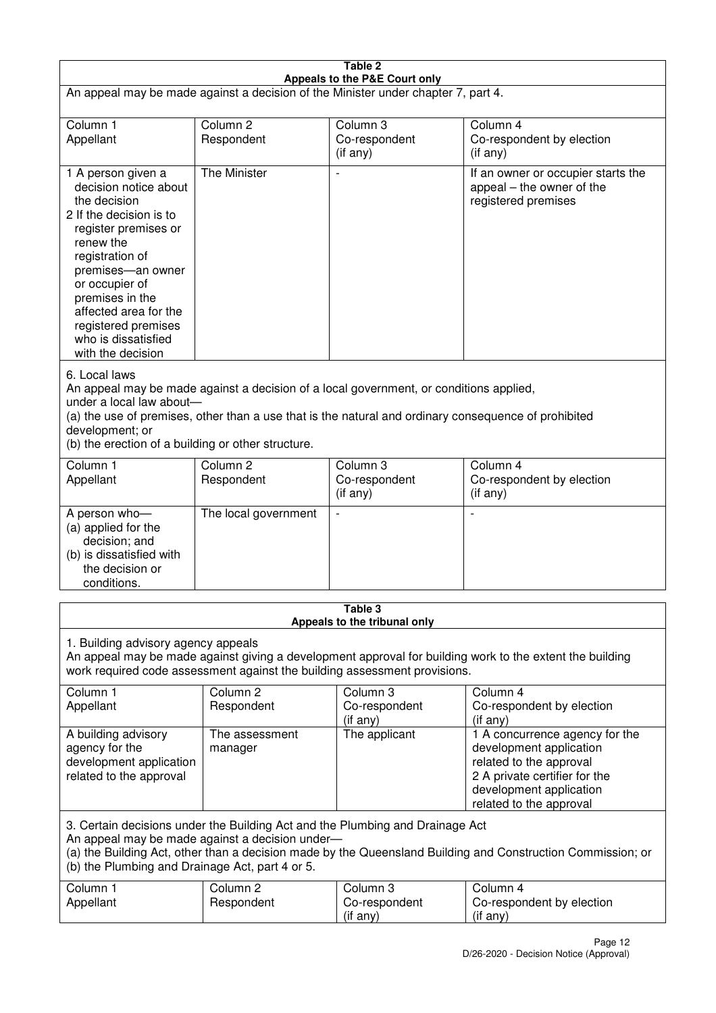| Table 2<br>Appeals to the P&E Court only                                                                                                                                                                                                                                                                             |                                   |                                       |                                                                                                                                                                             |  |
|----------------------------------------------------------------------------------------------------------------------------------------------------------------------------------------------------------------------------------------------------------------------------------------------------------------------|-----------------------------------|---------------------------------------|-----------------------------------------------------------------------------------------------------------------------------------------------------------------------------|--|
| An appeal may be made against a decision of the Minister under chapter 7, part 4.                                                                                                                                                                                                                                    |                                   |                                       |                                                                                                                                                                             |  |
| Column 1<br>Appellant                                                                                                                                                                                                                                                                                                | Column <sub>2</sub><br>Respondent | Column 3<br>Co-respondent<br>(if any) | Column 4<br>Co-respondent by election<br>$($ if any $)$                                                                                                                     |  |
| 1 A person given a<br>decision notice about<br>the decision<br>2 If the decision is to<br>register premises or<br>renew the<br>registration of<br>premises-an owner<br>or occupier of<br>premises in the<br>affected area for the<br>registered premises<br>who is dissatisfied<br>with the decision                 | The Minister                      |                                       | If an owner or occupier starts the<br>appeal – the owner of the<br>registered premises                                                                                      |  |
| 6. Local laws<br>An appeal may be made against a decision of a local government, or conditions applied,<br>under a local law about-<br>(a) the use of premises, other than a use that is the natural and ordinary consequence of prohibited<br>development; or<br>(b) the erection of a building or other structure. |                                   |                                       |                                                                                                                                                                             |  |
| Column 1<br>Appellant                                                                                                                                                                                                                                                                                                | Column <sub>2</sub><br>Respondent | Column 3<br>Co-respondent<br>(if any) | Column 4<br>Co-respondent by election<br>(if any)                                                                                                                           |  |
| A person who-<br>(a) applied for the<br>decision; and<br>(b) is dissatisfied with<br>the decision or<br>conditions.                                                                                                                                                                                                  | The local government              | $\overline{\phantom{a}}$              |                                                                                                                                                                             |  |
| Table 3<br>Appeals to the tribunal only                                                                                                                                                                                                                                                                              |                                   |                                       |                                                                                                                                                                             |  |
| 1. Building advisory agency appeals<br>An appeal may be made against giving a development approval for building work to the extent the building<br>work required code assessment against the building assessment provisions.                                                                                         |                                   |                                       |                                                                                                                                                                             |  |
| Column <sub>1</sub><br>Appellant                                                                                                                                                                                                                                                                                     | Column <sub>2</sub><br>Respondent | Column 3<br>Co-respondent<br>(if any) | Column 4<br>Co-respondent by election<br>(if any)                                                                                                                           |  |
| A building advisory<br>agency for the<br>development application<br>related to the approval                                                                                                                                                                                                                          | The assessment<br>manager         | The applicant                         | 1 A concurrence agency for the<br>development application<br>related to the approval<br>2 A private certifier for the<br>development application<br>related to the approval |  |
| 3. Certain decisions under the Building Act and the Plumbing and Drainage Act<br>An appeal may be made against a decision under-<br>(a) the Building Act, other than a decision made by the Queensland Building and Construction Commission; or<br>(b) the Plumbing and Drainage Act, part 4 or 5.                   |                                   |                                       |                                                                                                                                                                             |  |
| Column 1<br>Appellant                                                                                                                                                                                                                                                                                                | Column <sub>2</sub><br>Respondent | Column 3<br>Co-respondent<br>(if any) | Column 4<br>Co-respondent by election<br>(if any)                                                                                                                           |  |